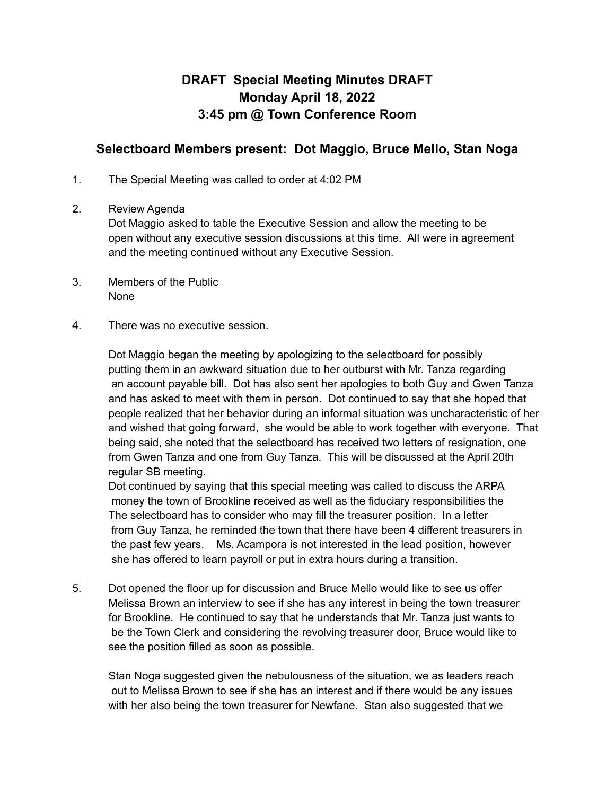## **DRAFT Special Meeting Minutes DRAFT Monday April 18, 2022 3:45 pm @ Town Conference Room**

## **Selectboard Members present: Dot Maggio, Bruce Mello, Stan Noga**

- 1. The Special Meeting was called to order at 4:02 PM
- 2. Review Agenda

Dot Maggio asked to table the Executive Session and allow the meeting to be open without any executive session discussions at this time. All were in agreement and the meeting continued without any Executive Session.

- 3. Members of the Public None
- 4. There was no executive session.

Dot Maggio began the meeting by apologizing to the selectboard for possibly putting them in an awkward situation due to her outburst with Mr. Tanza regarding an account payable bill. Dot has also sent her apologies to both Guy and Gwen Tanza and has asked to meet with them in person. Dot continued to say that she hoped that people realized that her behavior during an informal situation was uncharacteristic of her and wished that going forward, she would be able to work together with everyone. That being said, she noted that the selectboard has received two letters of resignation, one from Gwen Tanza and one from Guy Tanza. This will be discussed at the April 20th regular SB meeting.

Dot continued by saying that this special meeting was called to discuss the ARPA money the town of Brookline received as well as the fiduciary responsibilities the The selectboard has to consider who may fill the treasurer position. In a letter from Guy Tanza, he reminded the town that there have been 4 different treasurers in the past few years. Ms. Acampora is not interested in the lead position, however she has offered to learn payroll or put in extra hours during a transition.

5. Dot opened the floor up for discussion and Bruce Mello would like to see us offer Melissa Brown an interview to see if she has any interest in being the town treasurer for Brookline. He continued to say that he understands that Mr. Tanza just wants to be the Town Clerk and considering the revolving treasurer door, Bruce would like to see the position filled as soon as possible.

Stan Noga suggested given the nebulousness of the situation, we as leaders reach out to Melissa Brown to see if she has an interest and if there would be any issues with her also being the town treasurer for Newfane. Stan also suggested that we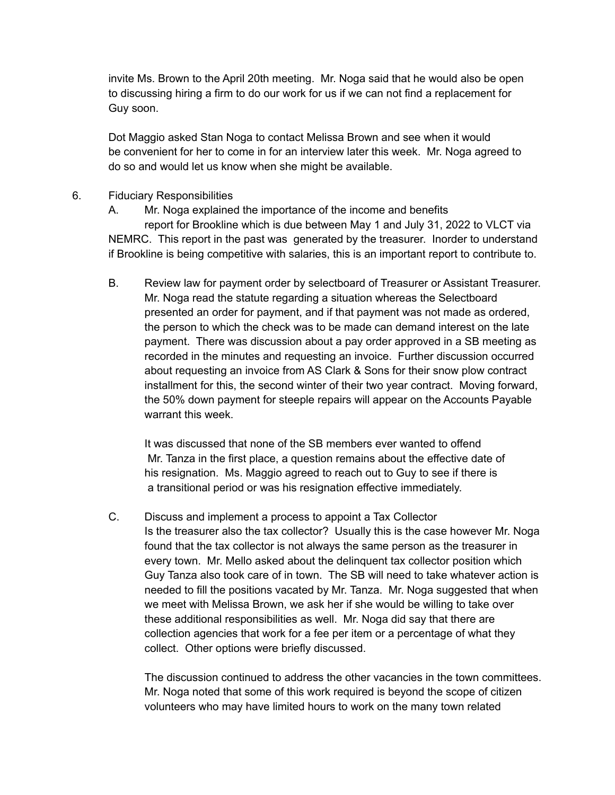invite Ms. Brown to the April 20th meeting. Mr. Noga said that he would also be open to discussing hiring a firm to do our work for us if we can not find a replacement for Guy soon.

Dot Maggio asked Stan Noga to contact Melissa Brown and see when it would be convenient for her to come in for an interview later this week. Mr. Noga agreed to do so and would let us know when she might be available.

- 6. Fiduciary Responsibilities
	- A. Mr. Noga explained the importance of the income and benefits report for Brookline which is due between May 1 and July 31, 2022 to VLCT via NEMRC. This report in the past was generated by the treasurer. Inorder to understand if Brookline is being competitive with salaries, this is an important report to contribute to.
	- B. Review law for payment order by selectboard of Treasurer or Assistant Treasurer. Mr. Noga read the statute regarding a situation whereas the Selectboard presented an order for payment, and if that payment was not made as ordered, the person to which the check was to be made can demand interest on the late payment. There was discussion about a pay order approved in a SB meeting as recorded in the minutes and requesting an invoice. Further discussion occurred about requesting an invoice from AS Clark & Sons for their snow plow contract installment for this, the second winter of their two year contract. Moving forward, the 50% down payment for steeple repairs will appear on the Accounts Payable warrant this week.

It was discussed that none of the SB members ever wanted to offend Mr. Tanza in the first place, a question remains about the effective date of his resignation. Ms. Maggio agreed to reach out to Guy to see if there is a transitional period or was his resignation effective immediately.

C. Discuss and implement a process to appoint a Tax Collector Is the treasurer also the tax collector? Usually this is the case however Mr. Noga found that the tax collector is not always the same person as the treasurer in every town. Mr. Mello asked about the delinquent tax collector position which Guy Tanza also took care of in town. The SB will need to take whatever action is needed to fill the positions vacated by Mr. Tanza. Mr. Noga suggested that when we meet with Melissa Brown, we ask her if she would be willing to take over these additional responsibilities as well. Mr. Noga did say that there are collection agencies that work for a fee per item or a percentage of what they collect. Other options were briefly discussed.

The discussion continued to address the other vacancies in the town committees. Mr. Noga noted that some of this work required is beyond the scope of citizen volunteers who may have limited hours to work on the many town related